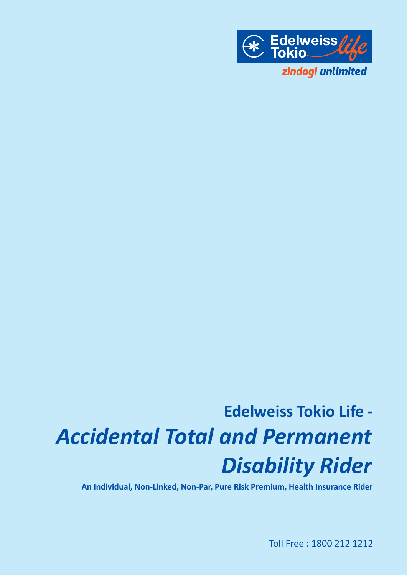

# **Edelweiss Tokio Life -** *Accidental Total and Permanent Disability Rider*

**An Individual, Non-Linked, Non-Par, Pure Risk Premium, Health Insurance Rider**

Toll Free : 1800 212 1212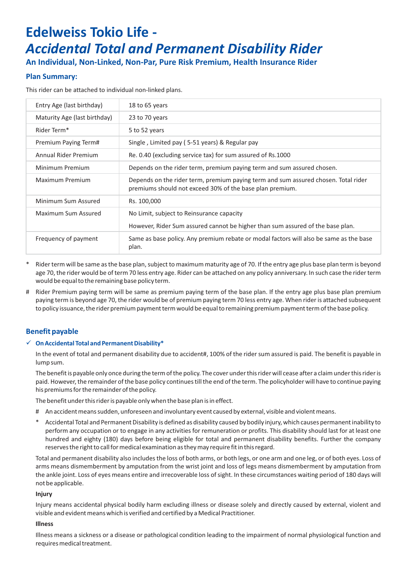# **Edelweiss Tokio Life -**  *Accidental Total and Permanent Disability Rider*

**An Individual, Non-Linked, Non-Par, Pure Risk Premium, Health Insurance Rider**

# **Plan Summary:**

This rider can be attached to individual non-linked plans.

| Entry Age (last birthday)    | 18 to 65 years                                                                                                                                 |
|------------------------------|------------------------------------------------------------------------------------------------------------------------------------------------|
| Maturity Age (last birthday) | 23 to 70 years                                                                                                                                 |
| Rider Term <sup>*</sup>      | 5 to 52 years                                                                                                                                  |
| Premium Paying Term#         | Single, Limited pay (5-51 years) & Regular pay                                                                                                 |
| Annual Rider Premium         | Re. 0.40 (excluding service tax) for sum assured of Rs.1000                                                                                    |
| Minimum Premium              | Depends on the rider term, premium paying term and sum assured chosen.                                                                         |
| Maximum Premium              | Depends on the rider term, premium paying term and sum assured chosen. Total rider<br>premiums should not exceed 30% of the base plan premium. |
| Minimum Sum Assured          | Rs. 100,000                                                                                                                                    |
| Maximum Sum Assured          | No Limit, subject to Reinsurance capacity                                                                                                      |
|                              | However, Rider Sum assured cannot be higher than sum assured of the base plan.                                                                 |
| Frequency of payment         | Same as base policy. Any premium rebate or modal factors will also be same as the base<br>plan.                                                |

- Rider term will be same as the base plan, subject to maximum maturity age of 70. If the entry age plus base plan term is beyond age 70, the rider would be of term 70 less entry age. Rider can be attached on any policy anniversary. In such case the rider term would be equal to the remaining base policy term.
- # Rider Premium paying term will be same as premium paying term of the base plan. If the entry age plus base plan premium paying term is beyond age 70, the rider would be of premium paying term 70 less entry age. When rider is attached subsequent to policy issuance, the rider premium payment term would be equal to remaining premium payment term of the base policy.

# **Benefit payable**

# ü **On Accidental Total and Permanent Disability\***

In the event of total and permanent disability due to accident#, 100% of the rider sum assured is paid. The benefit is payable in lump sum.

The benefit is payable only once during the term of the policy. The cover under this rider will cease after a claim under this rider is paid. However, the remainder of the base policy continues till the end of the term. The policyholder will have to continue paying his premiums for the remainder of the policy.

The benefit under this rider is payable only when the base plan is in effect.

- # An accident means sudden, unforeseen and involuntary event caused by external, visible and violent means.
- Accidental Total and Permanent Disability is defined as disability caused by bodily injury, which causes permanent inability to perform any occupation or to engage in any activities for remuneration or profits. This disability should last for at least one hundred and eighty (180) days before being eligible for total and permanent disability benefits. Further the company reserves the right to call for medical examination as they may require fit in this regard.

Total and permanent disability also includes the loss of both arms, or both legs, or one arm and one leg, or of both eyes. Loss of arms means dismemberment by amputation from the wrist joint and loss of legs means dismemberment by amputation from the ankle joint. Loss of eyes means entire and irrecoverable loss of sight. In these circumstances waiting period of 180 days will not be applicable.

# **Injury**

Injury means accidental physical bodily harm excluding illness or disease solely and directly caused by external, violent and visible and evident means which is verified and certified by a Medical Practitioner.

# **Illness**

Illness means a sickness or a disease or pathological condition leading to the impairment of normal physiological function and requires medical treatment.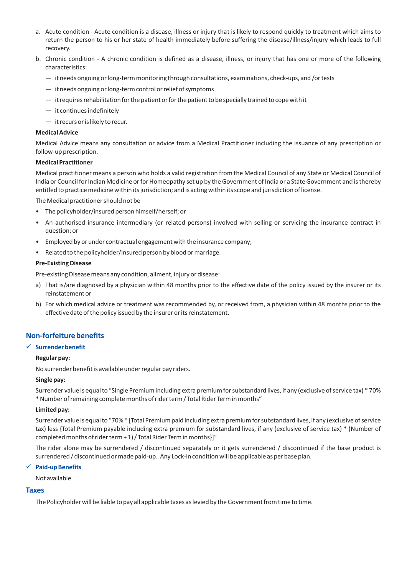- a. Acute condition Acute condition is a disease, illness or injury that is likely to respond quickly to treatment which aims to return the person to his or her state of health immediately before suffering the disease/illness/injury which leads to full recovery.
- b. Chronic condition A chronic condition is defined as a disease, illness, or injury that has one or more of the following characteristics:
	- it needs ongoing or long-term monitoring through consultations, examinations, check-ups, and /or tests
	- it needs ongoing or long-term control or relief of symptoms
	- it requires rehabilitation for the patient or for the patient to be specially trained to cope with it
	- it continues indefinitely
	- it recurs or is likely to recur.

#### **Medical Advice**

Medical Advice means any consultation or advice from a Medical Practitioner including the issuance of any prescription or follow-up prescription.

#### **Medical Practitioner**

Medical practitioner means a person who holds a valid registration from the Medical Council of any State or Medical Council of India or Council for Indian Medicine or for Homeopathy set up by the Government of India or a State Government and is thereby entitled to practice medicine within its jurisdiction; and is acting within its scope and jurisdiction of license.

The Medical practitioner should not be

- The policyholder/insured person himself/herself; or
- An authorised insurance intermediary (or related persons) involved with selling or servicing the insurance contract in question; or
- Employed by or under contractual engagement with the insurance company;
- Related to the policyholder/insured person by blood or marriage.

#### **Pre-Existing Disease**

Pre-existing Disease means any condition, ailment, injury or disease:

- a) That is/are diagnosed by a physician within 48 months prior to the effective date of the policy issued by the insurer or its reinstatement or
- b) For which medical advice or treatment was recommended by, or received from, a physician within 48 months prior to the effective date of the policy issued by the insurer or its reinstatement.

# **Non-forfeiture benefits**

# ü **Surrender benefit**

#### **Regular pay:**

No surrender benefit is available under regular pay riders.

#### **Single pay:**

Surrender value is equal to "Single Premium including extra premium for substandard lives, if any (exclusive of service tax) \* 70% \* Number of remaining complete months of rider term / Total Rider Term in months"

#### **Limited pay:**

Surrender value is equal to "70% \* [Total Premium paid including extra premium for substandard lives, if any (exclusive of service tax) less {Total Premium payable including extra premium for substandard lives, if any (exclusive of service tax) \* (Number of completed months of rider term + 1) / Total Rider Term in months}]"

The rider alone may be surrendered / discontinued separately or it gets surrendered / discontinued if the base product is surrendered / discontinued or made paid-up. Any Lock-in condition will be applicable as per base plan.

#### ü **Paid-up Benefits**

Not available

#### **Taxes**

The Policyholder will be liable to pay all applicable taxes as levied by the Government from time to time.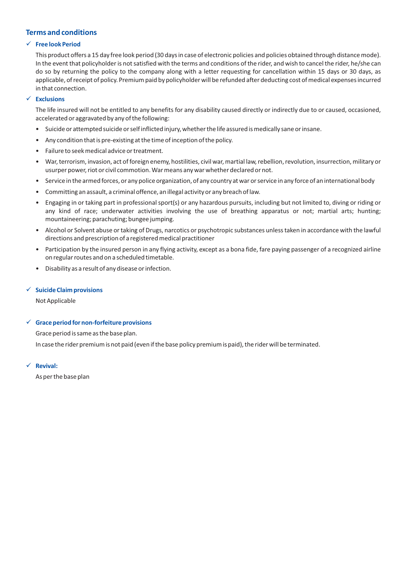# **Terms and conditions**

# ü **Free look Period**

This product offers a 15 day free look period (30 days in case of electronic policies and policies obtained through distance mode). In the event that policyholder is not satisfied with the terms and conditions of the rider, and wish to cancel the rider, he/she can do so by returning the policy to the company along with a letter requesting for cancellation within 15 days or 30 days, as applicable, of receipt of policy. Premium paid by policyholder will be refunded after deducting cost of medical expenses incurred in that connection.

# ü **Exclusions**

The life insured will not be entitled to any benefits for any disability caused directly or indirectly due to or caused, occasioned, accelerated or aggravated by any of the following:

- Suicide or attempted suicide or self inflicted injury, whether the life assured is medically sane or insane.
- Any condition that is pre-existing at the time of inception of the policy.
- Failure to seek medical advice or treatment.
- War, terrorism, invasion, act of foreign enemy, hostilities, civil war, martial law, rebellion, revolution, insurrection, military or usurper power, riot or civil commotion. War means any war whether declared or not.
- Service in the armed forces, or any police organization, of any country at war or service in any force of an international body
- Committing an assault, a criminal offence, an illegal activity or any breach of law.
- Engaging in or taking part in professional sport(s) or any hazardous pursuits, including but not limited to, diving or riding or any kind of race; underwater activities involving the use of breathing apparatus or not; martial arts; hunting; mountaineering; parachuting; bungee jumping.
- Alcohol or Solvent abuse or taking of Drugs, narcotics or psychotropic substances unless taken in accordance with the lawful directions and prescription of a registered medical practitioner
- Participation by the insured person in any flying activity, except as a bona fide, fare paying passenger of a recognized airline on regular routes and on a scheduled timetable.
- Disability as a result of any disease or infection.

# ü **Suicide Claim provisions**

Not Applicable

# ü **Grace period for non-forfeiture provisions**

Grace period is same as the base plan.

In case the rider premium is not paid (even if the base policy premium is paid), the rider will be terminated.

ü **Revival:**

As per the base plan